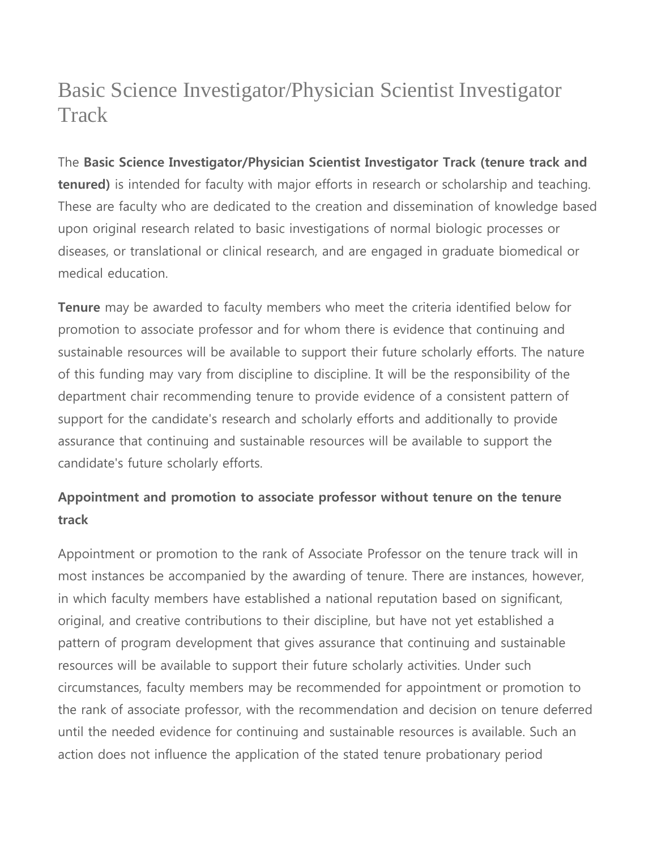# Basic Science Investigator/Physician Scientist Investigator **Track**

The **Basic Science Investigator/Physician Scientist Investigator Track (tenure track and tenured)** is intended for faculty with major efforts in research or scholarship and teaching. These are faculty who are dedicated to the creation and dissemination of knowledge based upon original research related to basic investigations of normal biologic processes or diseases, or translational or clinical research, and are engaged in graduate biomedical or medical education.

**Tenure** may be awarded to faculty members who meet the criteria identified below for promotion to associate professor and for whom there is evidence that continuing and sustainable resources will be available to support their future scholarly efforts. The nature of this funding may vary from discipline to discipline. It will be the responsibility of the department chair recommending tenure to provide evidence of a consistent pattern of support for the candidate's research and scholarly efforts and additionally to provide assurance that continuing and sustainable resources will be available to support the candidate's future scholarly efforts.

## **Appointment and promotion to associate professor without tenure on the tenure track**

Appointment or promotion to the rank of Associate Professor on the tenure track will in most instances be accompanied by the awarding of tenure. There are instances, however, in which faculty members have established a national reputation based on significant, original, and creative contributions to their discipline, but have not yet established a pattern of program development that gives assurance that continuing and sustainable resources will be available to support their future scholarly activities. Under such circumstances, faculty members may be recommended for appointment or promotion to the rank of associate professor, with the recommendation and decision on tenure deferred until the needed evidence for continuing and sustainable resources is available. Such an action does not influence the application of the stated tenure probationary period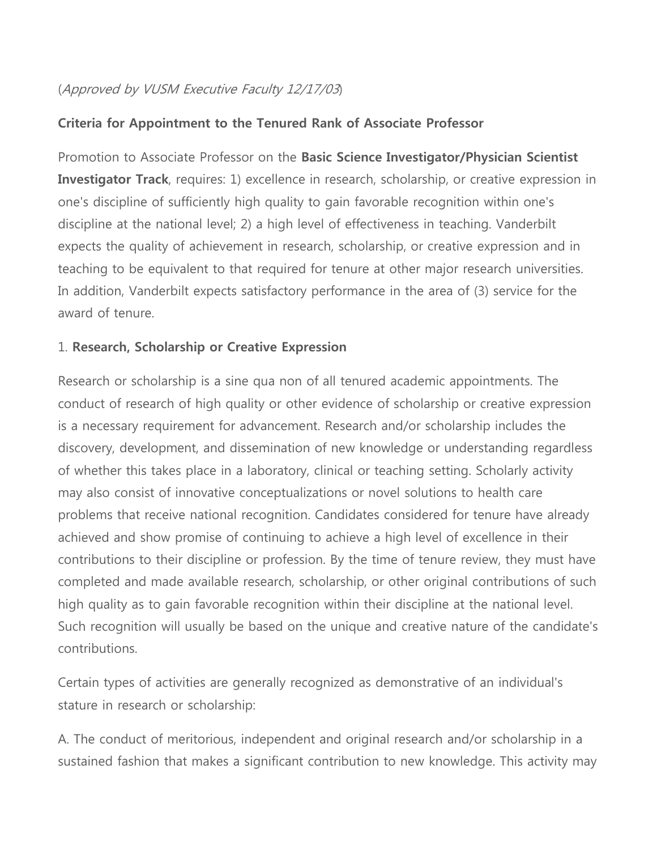## (Approved by VUSM Executive Faculty 12/17/03)

## **Criteria for Appointment to the Tenured Rank of Associate Professor**

Promotion to Associate Professor on the **Basic Science Investigator/Physician Scientist Investigator Track**, requires: 1) excellence in research, scholarship, or creative expression in one's discipline of sufficiently high quality to gain favorable recognition within one's discipline at the national level; 2) a high level of effectiveness in teaching. Vanderbilt expects the quality of achievement in research, scholarship, or creative expression and in teaching to be equivalent to that required for tenure at other major research universities. In addition, Vanderbilt expects satisfactory performance in the area of (3) service for the award of tenure.

### 1. **Research, Scholarship or Creative Expression**

Research or scholarship is a sine qua non of all tenured academic appointments. The conduct of research of high quality or other evidence of scholarship or creative expression is a necessary requirement for advancement. Research and/or scholarship includes the discovery, development, and dissemination of new knowledge or understanding regardless of whether this takes place in a laboratory, clinical or teaching setting. Scholarly activity may also consist of innovative conceptualizations or novel solutions to health care problems that receive national recognition. Candidates considered for tenure have already achieved and show promise of continuing to achieve a high level of excellence in their contributions to their discipline or profession. By the time of tenure review, they must have completed and made available research, scholarship, or other original contributions of such high quality as to gain favorable recognition within their discipline at the national level. Such recognition will usually be based on the unique and creative nature of the candidate's contributions.

Certain types of activities are generally recognized as demonstrative of an individual's stature in research or scholarship:

A. The conduct of meritorious, independent and original research and/or scholarship in a sustained fashion that makes a significant contribution to new knowledge. This activity may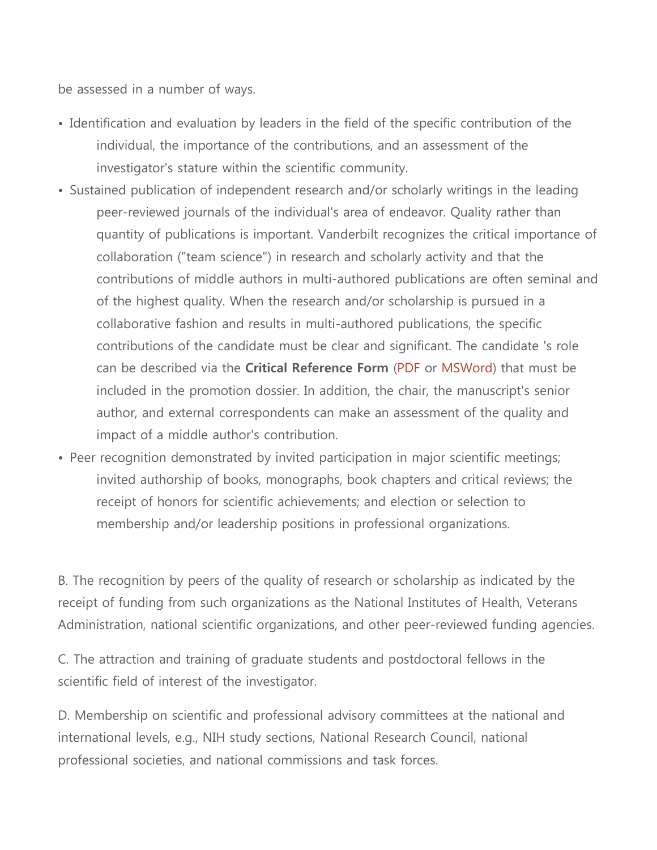be assessed in a number of ways.

- Identification and evaluation by leaders in the field of the specific contribution of the individual, the importance of the contributions, and an assessment of the investigator's stature within the scientific community.
- Sustained publication of independent research and/or scholarly writings in the leading peer-reviewed journals of the individual's area of endeavor. Quality rather than quantity of publications is important. Vanderbilt recognizes the critical importance of collaboration ("team science") in research and scholarly activity and that the contributions of middle authors in multi-authored publications are often seminal and of the highest quality. When the research and/or scholarship is pursued in a collaborative fashion and results in multi-authored publications, the specific contributions of the candidate must be clear and significant. The candidate 's role can be described via the **Critical Reference Form** [\(PDF](https://medschool.vanderbilt.edu/faculty/files/faculty/public_files/criticalReferences.pdf) or [MSWord\)](https://medschool.vanderbilt.edu/faculty/files/faculty/public_files/criticalReferences.doc) that must be included in the promotion dossier. In addition, the chair, the manuscript's senior author, and external correspondents can make an assessment of the quality and impact of a middle author's contribution.
- Peer recognition demonstrated by invited participation in major scientific meetings; invited authorship of books, monographs, book chapters and critical reviews; the receipt of honors for scientific achievements; and election or selection to membership and/or leadership positions in professional organizations.

B. The recognition by peers of the quality of research or scholarship as indicated by the receipt of funding from such organizations as the National Institutes of Health, Veterans Administration, national scientific organizations, and other peer-reviewed funding agencies.

C. The attraction and training of graduate students and postdoctoral fellows in the scientific field of interest of the investigator.

D. Membership on scientific and professional advisory committees at the national and international levels, e.g., NIH study sections, National Research Council, national professional societies, and national commissions and task forces.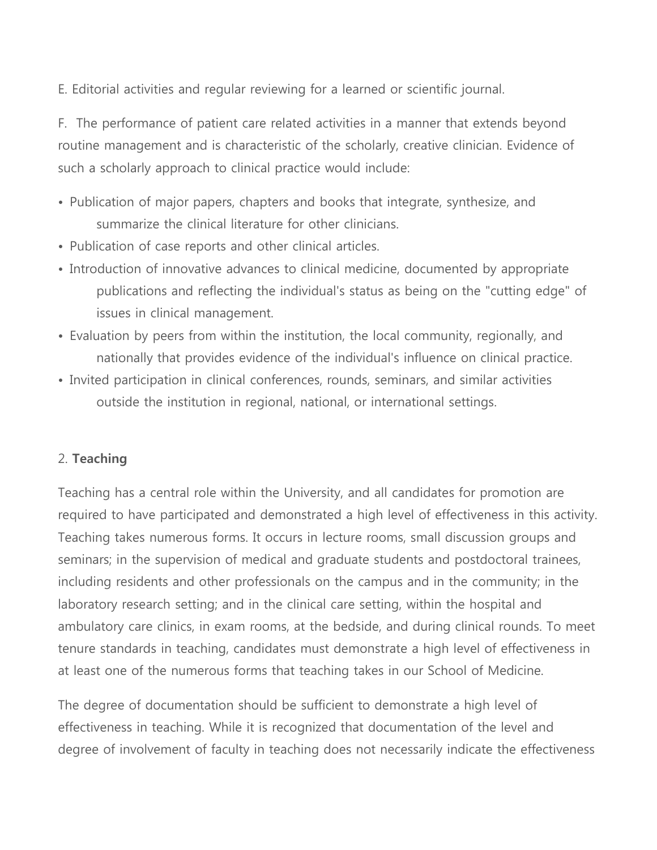E. Editorial activities and regular reviewing for a learned or scientific journal.

F. The performance of patient care related activities in a manner that extends beyond routine management and is characteristic of the scholarly, creative clinician. Evidence of such a scholarly approach to clinical practice would include:

- Publication of major papers, chapters and books that integrate, synthesize, and summarize the clinical literature for other clinicians.
- Publication of case reports and other clinical articles.
- Introduction of innovative advances to clinical medicine, documented by appropriate publications and reflecting the individual's status as being on the "cutting edge" of issues in clinical management.
- Evaluation by peers from within the institution, the local community, regionally, and nationally that provides evidence of the individual's influence on clinical practice.
- Invited participation in clinical conferences, rounds, seminars, and similar activities outside the institution in regional, national, or international settings.

#### 2. **Teaching**

Teaching has a central role within the University, and all candidates for promotion are required to have participated and demonstrated a high level of effectiveness in this activity. Teaching takes numerous forms. It occurs in lecture rooms, small discussion groups and seminars; in the supervision of medical and graduate students and postdoctoral trainees, including residents and other professionals on the campus and in the community; in the laboratory research setting; and in the clinical care setting, within the hospital and ambulatory care clinics, in exam rooms, at the bedside, and during clinical rounds. To meet tenure standards in teaching, candidates must demonstrate a high level of effectiveness in at least one of the numerous forms that teaching takes in our School of Medicine.

The degree of documentation should be sufficient to demonstrate a high level of effectiveness in teaching. While it is recognized that documentation of the level and degree of involvement of faculty in teaching does not necessarily indicate the effectiveness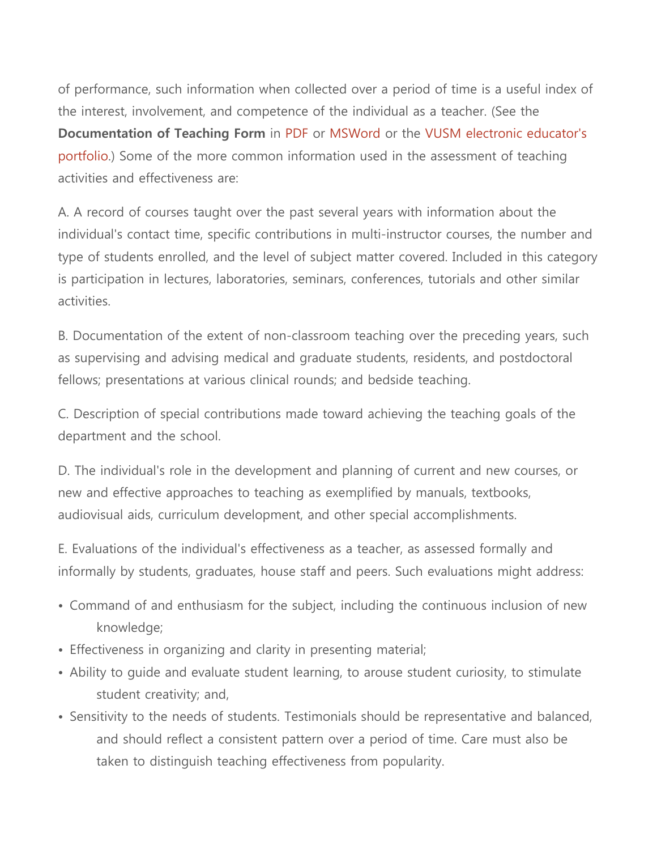of performance, such information when collected over a period of time is a useful index of the interest, involvement, and competence of the individual as a teacher. (See the **Documentation of Teaching Form** in [PDF](https://medschool.vanderbilt.edu/faculty/files/faculty/public_files/TeachingForm.pdf) or [MSWord](https://medschool.vanderbilt.edu/faculty/files/faculty/public_files/TeachingForm.doc) or the [VUSM electronic educator's](https://medapps.mc.vanderbilt.edu/eduport)  [portfolio.](https://medapps.mc.vanderbilt.edu/eduport)) Some of the more common information used in the assessment of teaching activities and effectiveness are:

A. A record of courses taught over the past several years with information about the individual's contact time, specific contributions in multi-instructor courses, the number and type of students enrolled, and the level of subject matter covered. Included in this category is participation in lectures, laboratories, seminars, conferences, tutorials and other similar activities.

B. Documentation of the extent of non-classroom teaching over the preceding years, such as supervising and advising medical and graduate students, residents, and postdoctoral fellows; presentations at various clinical rounds; and bedside teaching.

C. Description of special contributions made toward achieving the teaching goals of the department and the school.

D. The individual's role in the development and planning of current and new courses, or new and effective approaches to teaching as exemplified by manuals, textbooks, audiovisual aids, curriculum development, and other special accomplishments.

E. Evaluations of the individual's effectiveness as a teacher, as assessed formally and informally by students, graduates, house staff and peers. Such evaluations might address:

- Command of and enthusiasm for the subject, including the continuous inclusion of new knowledge;
- Effectiveness in organizing and clarity in presenting material;
- Ability to guide and evaluate student learning, to arouse student curiosity, to stimulate student creativity; and,
- Sensitivity to the needs of students. Testimonials should be representative and balanced, and should reflect a consistent pattern over a period of time. Care must also be taken to distinguish teaching effectiveness from popularity.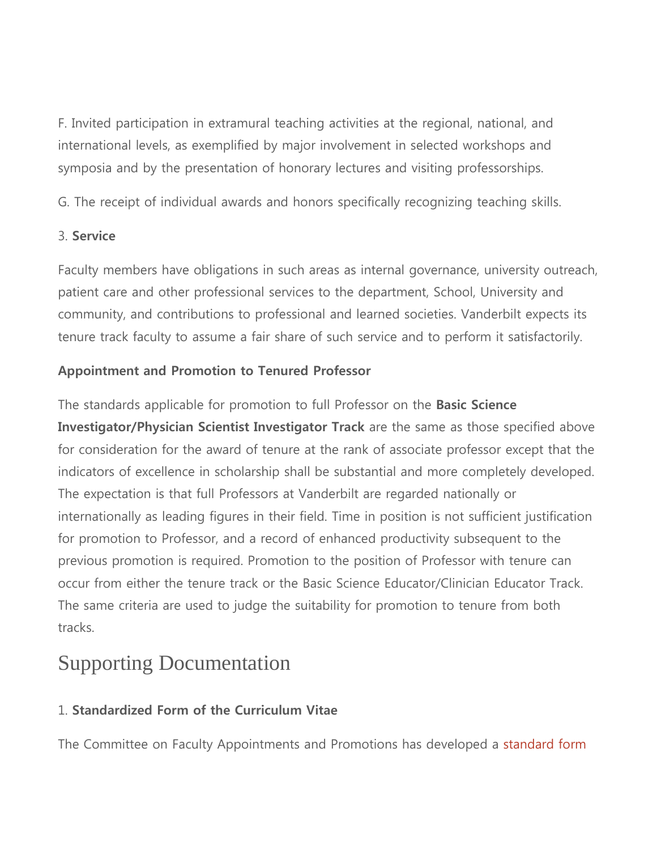F. Invited participation in extramural teaching activities at the regional, national, and international levels, as exemplified by major involvement in selected workshops and symposia and by the presentation of honorary lectures and visiting professorships.

G. The receipt of individual awards and honors specifically recognizing teaching skills.

### 3. **Service**

Faculty members have obligations in such areas as internal governance, university outreach, patient care and other professional services to the department, School, University and community, and contributions to professional and learned societies. Vanderbilt expects its tenure track faculty to assume a fair share of such service and to perform it satisfactorily.

## **Appointment and Promotion to Tenured Professor**

The standards applicable for promotion to full Professor on the **Basic Science Investigator/Physician Scientist Investigator Track** are the same as those specified above for consideration for the award of tenure at the rank of associate professor except that the indicators of excellence in scholarship shall be substantial and more completely developed. The expectation is that full Professors at Vanderbilt are regarded nationally or internationally as leading figures in their field. Time in position is not sufficient justification for promotion to Professor, and a record of enhanced productivity subsequent to the previous promotion is required. Promotion to the position of Professor with tenure can occur from either the tenure track or the Basic Science Educator/Clinician Educator Track. The same criteria are used to judge the suitability for promotion to tenure from both tracks.

# Supporting Documentation

## 1. **Standardized Form of the Curriculum Vitae**

The Committee on Faculty Appointments and Promotions has developed a [standard form](https://medschool.vanderbilt.edu/faculty/required-format-curriculum-vitae)